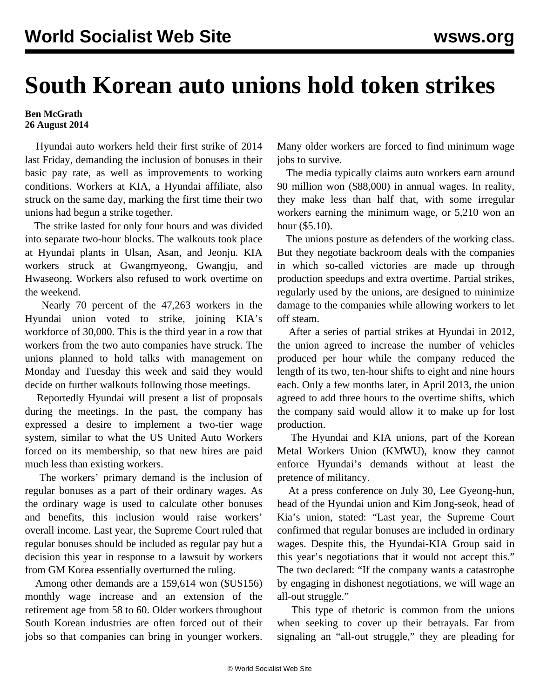## **South Korean auto unions hold token strikes**

## **Ben McGrath 26 August 2014**

 Hyundai auto workers held their first strike of 2014 last Friday, demanding the inclusion of bonuses in their basic pay rate, as well as improvements to working conditions. Workers at KIA, a Hyundai affiliate, also struck on the same day, marking the first time their two unions had begun a strike together.

 The strike lasted for only four hours and was divided into separate two-hour blocks. The walkouts took place at Hyundai plants in Ulsan, Asan, and Jeonju. KIA workers struck at Gwangmyeong, Gwangju, and Hwaseong. Workers also refused to work overtime on the weekend.

 Nearly 70 percent of the 47,263 workers in the Hyundai union voted to strike, joining KIA's workforce of 30,000. This is the third year in a row that workers from the two auto companies have struck. The unions planned to hold talks with management on Monday and Tuesday this week and said they would decide on further walkouts following those meetings.

 Reportedly Hyundai will present a list of proposals during the meetings. In the past, the company has expressed a desire to implement a two-tier wage system, similar to what the US United Auto Workers forced on its membership, so that new hires are paid much less than existing workers.

 The workers' primary demand is the inclusion of regular bonuses as a part of their ordinary wages. As the ordinary wage is used to calculate other bonuses and benefits, this inclusion would raise workers' overall income. Last year, the Supreme Court ruled that regular bonuses should be included as regular pay but a decision this year in response to a lawsuit by workers from GM Korea essentially overturned the ruling.

 Among other demands are a 159,614 won (\$US156) monthly wage increase and an extension of the retirement age from 58 to 60. Older workers throughout South Korean industries are often forced out of their jobs so that companies can bring in younger workers.

Many older workers are forced to find minimum wage jobs to survive.

 The media typically claims auto workers earn around 90 million won (\$88,000) in annual wages. In reality, they make less than half that, with some irregular workers earning the minimum wage, or 5,210 won an hour (\$5.10).

 The unions posture as defenders of the working class. But they negotiate backroom deals with the companies in which so-called victories are made up through production speedups and extra overtime. Partial strikes, regularly used by the unions, are designed to minimize damage to the companies while allowing workers to let off steam.

 After a series of partial strikes at Hyundai in 2012, the union agreed to increase the number of vehicles produced per hour while the company reduced the length of its two, ten-hour shifts to eight and nine hours each. Only a few months later, in April 2013, the union agreed to add three hours to the overtime shifts, which the company said would allow it to make up for lost production.

 The Hyundai and KIA unions, part of the Korean Metal Workers Union (KMWU), know they cannot enforce Hyundai's demands without at least the pretence of militancy.

 At a press conference on July 30, Lee Gyeong-hun, head of the Hyundai union and Kim Jong-seok, head of Kia's union, stated: "Last year, the Supreme Court confirmed that regular bonuses are included in ordinary wages. Despite this, the Hyundai-KIA Group said in this year's negotiations that it would not accept this." The two declared: "If the company wants a catastrophe by engaging in dishonest negotiations, we will wage an all-out struggle."

 This type of rhetoric is common from the unions when seeking to cover up their betrayals. Far from signaling an "all-out struggle," they are pleading for